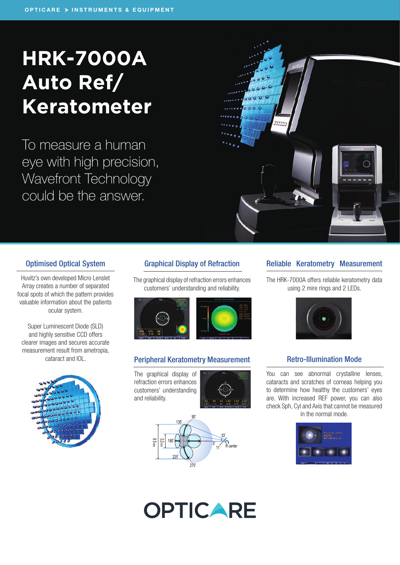## **HRK-7000A Auto Ref/ Keratometer**

To measure a human eye with high precision, Wavefront Technology could be the answer.

Optimised Optical System

Huvitz's own developed Micro Lenslet Array creates a number of separated focal spots of which the pattern provides valuable information about the patients ocular system.

Super Luminescent Diode (SLD) and highly sensitive CCD offers clearer images and secures accurate measurement result from ametropia,

#### Graphical Display of Refraction

The graphical display of refraction errors enhances customers' understanding and reliability.



#### cataract and IOL. **Peripheral Keratometry Measurement Retro-Illumination Mode**

The graphical display of refraction errors enhances customers' understanding and reliability.





# **OPTICARE**

#### Reliable Keratometry Measurement

 $\alpha$  0

 $\overline{\bullet}$   $\overline{\bullet}$   $\overline{\bullet}$ 

The HRK-7000A offers reliable keratometry data using 2 mire rings and 2 LEDs.



You can see abnormal crystalline lenses, cataracts and scratches of corneas helping you to determine how healthy the customers' eyes are. With increased REF power, you can also check Sph, Cyl and Axis that cannot be measured in the normal mode.